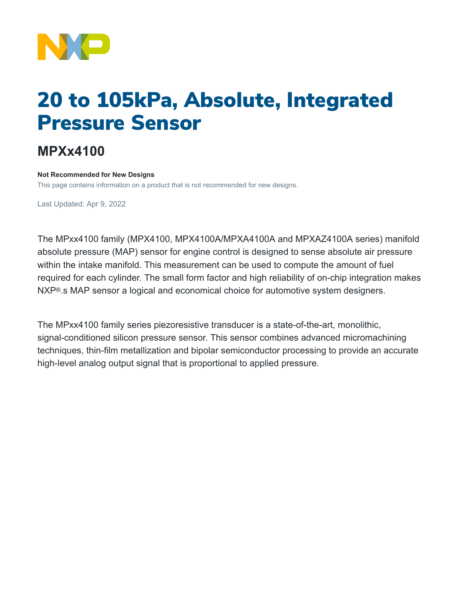

## 20 to 105kPa, Absolute, Integrated Pressure Sensor

## **MPXx4100**

## **Not Recommended for New Designs**

This page contains information on a product that is not recommended for new designs.

Last Updated: Apr 9, 2022

The MPxx4100 family (MPX4100, MPX4100A/MPXA4100A and MPXAZ4100A series) manifold absolute pressure (MAP) sensor for engine control is designed to sense absolute air pressure within the intake manifold. This measurement can be used to compute the amount of fuel required for each cylinder. The small form factor and high reliability of on-chip integration makes NXP®.s MAP sensor a logical and economical choice for automotive system designers.

The MPxx4100 family series piezoresistive transducer is a state-of-the-art, monolithic, signal-conditioned silicon pressure sensor. This sensor combines advanced micromachining techniques, thin-film metallization and bipolar semiconductor processing to provide an accurate high-level analog output signal that is proportional to applied pressure.